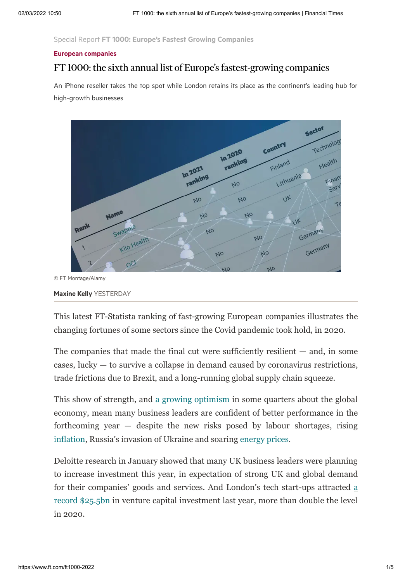Special Report FT 1000: Europe's Fastest Growing [Companies](https://www.ft.com/reports/europes-fastest-growing-companies)

#### European [companies](https://www.ft.com/companies/europe)

#### FT 1000: the sixth annual list of Europe's fastest-growing companies

An iPhone reseller takes the top spot while London retains its place as the continent's leading hub for high-growth businesses



© FT Montage/Alamy

[Maxine](https://www.ft.com/stream/1b3fbf04-79fc-4c9e-aa16-312d01dab71a) Kelly YESTERDAY

This latest FT-Statista ranking of fast-growing European companies illustrates the changing fortunes of some sectors since the Covid pandemic took hold, in 2020.

The companies that made the final cut were sufficiently resilient  $-$  and, in some cases, lucky — to survive a collapse in demand caused by coronavirus restrictions, trade frictions due to Brexit, and a long-running global supply chain squeeze.

This show of strength, and [a growing optimism](https://www.ft.com/content/51d94075-a6ea-4cad-91da-e4d0a41893a7?emailId=61dbc61af94b090004ac6f9a&segmentId=22011ee7-896a-8c4c-22a0-7603348b7f22) in some quarters about the global economy, mean many business leaders are confident of better performance in the forthcoming year — despite the new risks posed by labour shortages, rising [inflation](https://www.ft.com/content/55bebb18-d458-4b75-b106-840b5c12a7a5), Russia's invasion of Ukraine and soaring [energy prices](https://www.ft.com/content/ebf4f757-89e7-4680-b1e4-e3aa25985e11#post-c4b7c477-5f85-4b08-ba82-84912a998442).

Deloitte research in January showed that many UK business leaders were planning to increase investment this year, in expectation of strong UK and global demand [for their companies' goods and services. And London's tech start-ups attracted a](https://www.ft.com/content/56eb7094-63ff-49dd-a453-3cdd89a9a2ed) record \$25.5bn in venture capital investment last year, more than double the level in 2020.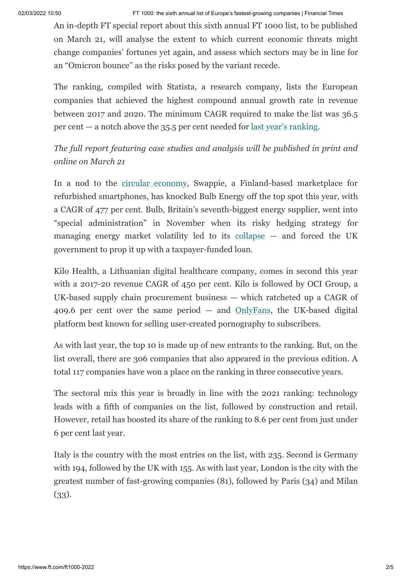02/03/2022 10:50 FT 1000: the sixth annual list of Europe's fastest-growing companies | Financial Times

An in-depth FT special report about this sixth annual FT 1000 list, to be published on March 21, will analyse the extent to which current economic threats might change companies' fortunes yet again, and assess which sectors may be in line for an "Omicron bounce" as the risks posed by the variant recede.

The ranking, compiled with Statista, a research company, lists the European companies that achieved the highest compound annual growth rate in revenue between 2017 and 2020. The minimum CAGR required to make the list was 36.5 per cent — a notch above the 35.5 per cent needed for [last year's ranking.](https://www.ft.com/content/8b37a92b-15e6-4b9c-8427-315a8b5f4332)

*The full report featuring case studies and analysis will be published in print and online on March 21*

In a nod to the [circular economy](https://www.ft.com/reports/circular-economy), Swappie, a Finland-based marketplace for refurbished smartphones, has knocked Bulb Energy off the top spot this year, with a CAGR of 477 per cent. Bulb, Britain's seventh-biggest energy supplier, went into "special administration" in November when its risky hedging strategy for managing energy market volatility led to its [collapse](https://www.ft.com/content/8bdc2216-ac34-4185-90a1-92613f622680) — and forced the UK government to prop it up with a taxpayer-funded loan.

Kilo Health, a Lithuanian digital healthcare company, comes in second this year with a 2017-20 revenue CAGR of 450 per cent. Kilo is followed by OCI Group, a UK-based supply chain procurement business — which ratcheted up a CAGR of 409.6 per cent over the same period  $-$  and  $OnlyFans$ , the UK-based digital platform best known for selling user-created pornography to subscribers.

As with last year, the top 10 is made up of new entrants to the ranking. But, on the list overall, there are 306 companies that also appeared in the previous edition. A total 117 companies have won a place on the ranking in three consecutive years.

The sectoral mix this year is broadly in line with the 2021 ranking: technology leads with a fifth of companies on the list, followed by construction and retail. However, retail has boosted its share of the ranking to 8.6 per cent from just under 6 per cent last year.

Italy is the country with the most entries on the list, with 235. Second is Germany with 194, followed by the UK with 155. As with last year, London is the city with the greatest number of fast-growing companies (81), followed by Paris (34) and Milan (33).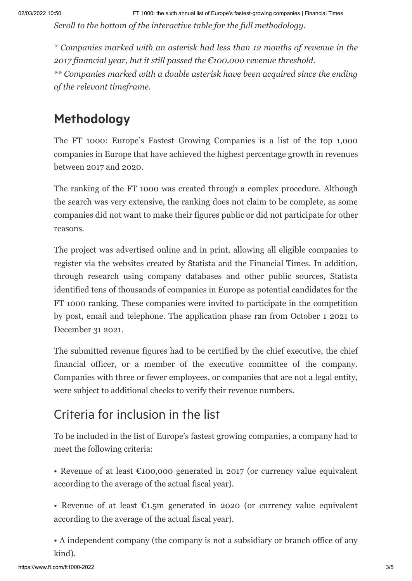*Scroll to the bottom of the interactive table for the full methodology.*

*\* Companies marked with an asterisk had less than 12 months of revenue in the 2017 financial year, but it still passed the €100,000 revenue threshold.*

*\*\* Companies marked with a double asterisk have been acquired since the ending of the relevant timeframe.*

# Methodology

The FT 1000: Europe's Fastest Growing Companies is a list of the top 1,000 companies in Europe that have achieved the highest percentage growth in revenues between 2017 and 2020.

The ranking of the FT 1000 was created through a complex procedure. Although the search was very extensive, the ranking does not claim to be complete, as some companies did not want to make their figures public or did not participate for other reasons.

The project was advertised online and in print, allowing all eligible companies to register via the websites created by Statista and the Financial Times. In addition, through research using company databases and other public sources, Statista identified tens of thousands of companies in Europe as potential candidates for the FT 1000 ranking. These companies were invited to participate in the competition by post, email and telephone. The application phase ran from October 1 2021 to December 31 2021.

The submitted revenue figures had to be certified by the chief executive, the chief financial officer, or a member of the executive committee of the company. Companies with three or fewer employees, or companies that are not a legal entity, were subject to additional checks to verify their revenue numbers.

# Criteria for inclusion in the list

To be included in the list of Europe's fastest growing companies, a company had to meet the following criteria:

• Revenue of at least €100,000 generated in 2017 (or currency value equivalent according to the average of the actual fiscal year).

• Revenue of at least  $E1.5m$  generated in 2020 (or currency value equivalent according to the average of the actual fiscal year).

• A independent company (the company is not a subsidiary or branch office of any kind).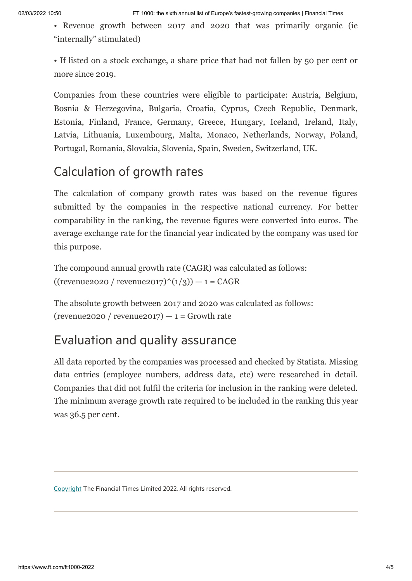• Revenue growth between 2017 and 2020 that was primarily organic (ie "internally" stimulated)

• If listed on a stock exchange, a share price that had not fallen by 50 per cent or more since 2019.

Companies from these countries were eligible to participate: Austria, Belgium, Bosnia & Herzegovina, Bulgaria, Croatia, Cyprus, Czech Republic, Denmark, Estonia, Finland, France, Germany, Greece, Hungary, Iceland, Ireland, Italy, Latvia, Lithuania, Luxembourg, Malta, Monaco, Netherlands, Norway, Poland, Portugal, Romania, Slovakia, Slovenia, Spain, Sweden, Switzerland, UK.

### Calculation of growth rates

The calculation of company growth rates was based on the revenue figures submitted by the companies in the respective national currency. For better comparability in the ranking, the revenue figures were converted into euros. The average exchange rate for the financial year indicated by the company was used for this purpose.

The compound annual growth rate (CAGR) was calculated as follows:  $((revenue 2020 / revenue 2017)^(1/3)) - 1 = CAGR$ 

The absolute growth between 2017 and 2020 was calculated as follows: (revenue2020 / revenue2017)  $-1$  = Growth rate

#### Evaluation and quality assurance

All data reported by the companies was processed and checked by Statista. Missing data entries (employee numbers, address data, etc) were researched in detail. Companies that did not fulfil the criteria for inclusion in the ranking were deleted. The minimum average growth rate required to be included in the ranking this year was 36.5 per cent.

[Copyright](http://help.ft.com/help/legal-privacy/copyright/copyright-policy/) The Financial Times Limited 2022. All rights reserved.